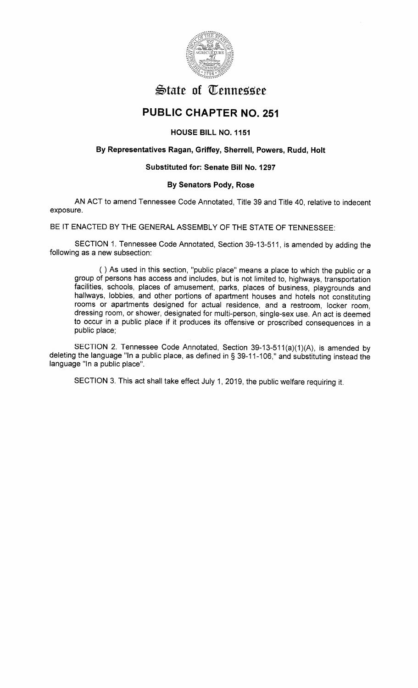

# **State of Tennessee**

# PUBLIC CHAPTER NO.251

HOUSE BILL NO. 1151

## By Representatives Ragan, Griffey, Sherrell, Powers, Rudd, Holt

### Substituted for: Senate Bill No. 1297

#### By Senators Pody, Rose

AN ACT to amend Tennessee Code Annotated, Title 39 and Title 40, relative to indecentexposure.

BE IT ENACTED BY THE GENERAL ASSEMBLY OF THE STATE OF TENNESSEE

SECTION 1. Tennessee Code Annotated, Section 39-13-511, is amended by adding thefollowing as a new subsection:

( ) As used in this section, "public place" means a place to which the public or a group of persons has access and includes, but is not limited to, highways, transportation facilities, schools, places of amusement, parks, places of business, playgrounds and hallways, lobbies, and other portions of apartment houses and hotels not constituting rooms or apartments designed for actual residence, and a restroom, locker room, dressing room, or shower, designated for multi-person, single-sex use. An act is deemed to occur in a public place if it produces its offensive or proscribed consequences in apublic place;

SECTION 2. Tennessee Code Annotated, Section 39-13-511(a)(1)(A), is amended by deleting the language "ln a public place, as defined in \$ 39-11-106," and substituting instead thelanguage "ln a public place".

SECTION 3. This act shall take effect July 1, 2019, the public welfare requiring it.